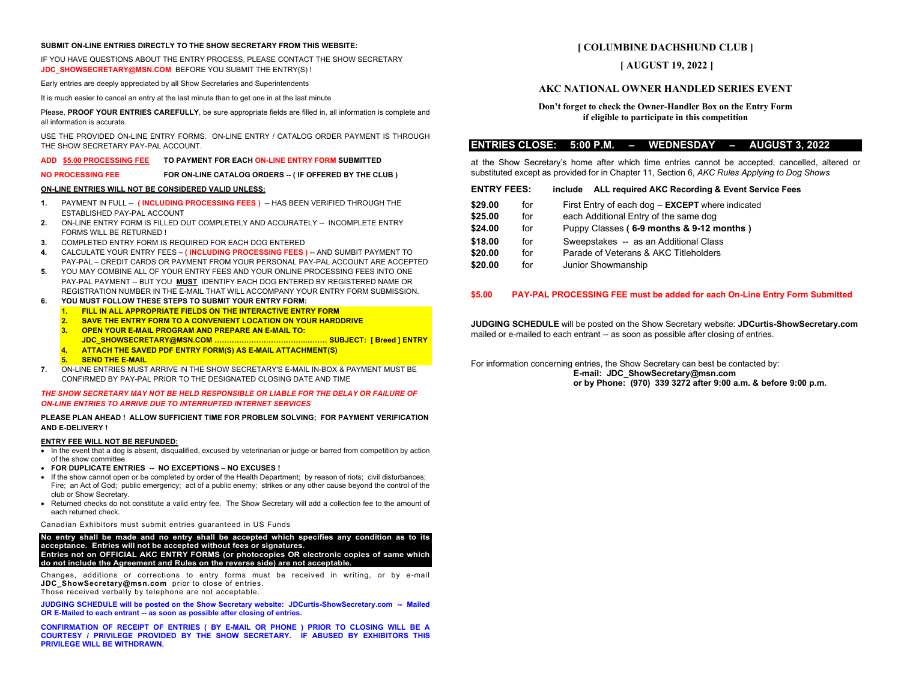### **SUBMIT ON-LINE ENTRIES DIRECTLY TO THE SHOW SECRETARY FROM THIS WEBSITE:**

IF YOU HAVE QUESTIONS ABOUT THE ENTRY PROCESS, PLEASE CONTACT THE SHOW SECRETARY **JDC SHOWSECRETARY@MSN.COM** BEFORE YOU SUBMIT THE ENTRY(S) !

Early entries are deeply appreciated by all Show Secretaries and Superintendents

It is much easier to cancel an entry at the last minute than to get one in at the last minute

Please, **PROOF YOUR ENTRIES CAREFULLY**, be sure appropriate fields are filled in, all information is complete and all information is accurate.

USE THE PROVIDED ON-LINE ENTRY FORMS. ON-LINE ENTRY / CATALOG ORDER PAYMENT IS THROUGH THE SHOW SECRETARY PAY-PAL ACCOUNT.

### **ADD \$5.00 PROCESSING FEE TO PAYMENT FOR EACH ON-LINE ENTRY FORM SUBMITTED**

**NO PROCESSING FEE FOR ON-LINE CATALOG ORDERS -- ( IF OFFERED BY THE CLUB )** 

### **ON-LINE ENTRIES WILL NOT BE CONSIDERED VALID UNLESS:**

- **1.** PAYMENT IN FULL -- **( INCLUDING PROCESSING FEES )** -- HAS BEEN VERIFIED THROUGH THE ESTABLISHED PAY-PAL ACCOUNT
- **2.** ON-LINE ENTRY FORM IS FILLED OUT COMPLETELY AND ACCURATELY -- INCOMPLETE ENTRY FORMS WILL BE RETURNED !
- **3.** COMPLETED ENTRY FORM IS REQUIRED FOR EACH DOG ENTERED
- **4.** CALCULATE YOUR ENTRY FEES **( INCLUDING PROCESSING FEES )** -- AND SUMBIT PAYMENT TO PAY-PAL – CREDIT CARDS OR PAYMENT FROM YOUR PERSONAL PAY-PAL ACCOUNT ARE ACCEPTED
- **5.** YOU MAY COMBINE ALL OF YOUR ENTRY FEES AND YOUR ONLINE PROCESSING FEES INTO ONE PAY-PAL PAYMENT -- BUT YOU **MUST** IDENTIFY EACH DOG ENTERED BY REGISTERED NAME OR REGISTRATION NUMBER IN THE E-MAIL THAT WILL ACCOMPANY YOUR ENTRY FORM SUBMISSION.
- **6. YOU MUST FOLLOW THESE STEPS TO SUBMIT YOUR ENTRY FORM:**
	- **1. FILL IN ALL APPROPRIATE FIELDS ON THE INTERACTIVE ENTRY FORM**
	- **2. SAVE THE ENTRY FORM TO A CONVENIENT LOCATION ON YOUR HARDDRIVE**
	- **3. OPEN YOUR E-MAIL PROGRAM AND PREPARE AN E-MAIL TO: JDC\_SHOWSECRETARY@MSN.COM ……………………………….……… SUBJECT: [ Breed ] ENTRY**
	- **4. ATTACH THE SAVED PDF ENTRY FORM(S) AS E-MAIL ATTACHMENT(S)**
	- **5. SEND THE E-MAIL**
- **7.** ON-LINE ENTRIES MUST ARRIVE IN THE SHOW SECRETARY'S E-MAIL IN-BOX & PAYMENT MUST BE CONFIRMED BY PAY-PAL PRIOR TO THE DESIGNATED CLOSING DATE AND TIME

### *THE SHOW SECRETARY MAY NOT BE HELD RESPONSIBLE OR LIABLE FOR THE DELAY OR FAILURE OF ON-LINE ENTRIES TO ARRIVE DUE TO INTERRUPTED INTERNET SERVICES*

### **PLEASE PLAN AHEAD ! ALLOW SUFFICIENT TIME FOR PROBLEM SOLVING; FOR PAYMENT VERIFICATION AND E-DELIVERY !**

### **ENTRY FEE WILL NOT BE REFUNDED:**

- In the event that a dog is absent, disqualified, excused by veterinarian or judge or barred from competition by action of the show committee
- **FOR DUPLICATE ENTRIES -- NO EXCEPTIONS – NO EXCUSES !**
- If the show cannot open or be completed by order of the Health Department; by reason of riots; civil disturbances; Fire; an Act of God; public emergency; act of a public enemy; strikes or any other cause beyond the control of the club or Show Secretary.
- Returned checks do not constitute a valid entry fee. The Show Secretary will add a collection fee to the amount of each returned check.

#### Canadian Exhibitors must submit entries guaranteed in US Funds

**No entry shall be made and no entry shall be accepted which specifies any condition as to its acceptance. Entries will not be accepted without fees or signatures. Entries not on OFFICIAL AKC ENTRY FORMS (or photocopies OR electronic copies of same which do not include the Agreement and Rules on the reverse side) are not acceptable.**

Changes, additions or corrections to entry forms must be received in writing, or by e-mail **[JDC\\_ShowSecretary@msn.com](mailto:JDC_ShowSecretary@msn.com)** prior to close of entries.

Those received verbally by telephone are not acceptable.

**JUDGING SCHEDULE will be posted on the Show Secretary website: JDCurtis-ShowSecretary.com -- Mailed OR E-Mailed to each entrant -- as soon as possible after closing of entries.**

**CONFIRMATION OF RECEIPT OF ENTRIES ( BY E-MAIL OR PHONE ) PRIOR TO CLOSING WILL BE A COURTESY / PRIVILEGE PROVIDED BY THE SHOW SECRETARY. IF ABUSED BY EXHIBITORS THIS PRIVILEGE WILL BE WITHDRAWN.**

# **[ COLUMBINE DACHSHUND CLUB ]**

## **[ AUGUST 19, 2022 ]**

## **AKC NATIONAL OWNER HANDLED SERIES EVENT**

## **Don't forget to check the Owner-Handler Box on the Entry Form if eligible to participate in this competition**

### **ENTRIES CLOSE: 5:00 P.M. – WEDNESDAY – AUGUST 3, 2022**

at the Show Secretary's home after which time entries cannot be accepted, cancelled, altered or substituted except as provided for in Chapter 11, Section 6, *AKC Rules Applying to Dog Shows*

| <b>ENTRY FEES:</b> |     | ALL required AKC Recording & Event Service Fees<br>include |  |  |  |  |  |  |
|--------------------|-----|------------------------------------------------------------|--|--|--|--|--|--|
| \$29.00            | for | First Entry of each dog - <b>EXCEPT</b> where indicated    |  |  |  |  |  |  |
| \$25.00            | for | each Additional Entry of the same dog                      |  |  |  |  |  |  |
| \$24.00            | for | Puppy Classes (6-9 months & 9-12 months)                   |  |  |  |  |  |  |
| \$18.00            | for | Sweepstakes -- as an Additional Class                      |  |  |  |  |  |  |
| \$20.00            | for | Parade of Veterans & AKC Titleholders                      |  |  |  |  |  |  |
| \$20.00            | for | Junior Showmanship                                         |  |  |  |  |  |  |

### **\$5.00 PAY-PAL PROCESSING FEE must be added for each On-Line Entry Form Submitted**

**JUDGING SCHEDULE** will be posted on the Show Secretary website: **JDCurtis-ShowSecretary.com** mailed or e-mailed to each entrant -- as soon as possible after closing of entries.

For information concerning entries, the Show Secretary can best be contacted by: **E-mail: JDC\_ShowSecretary@msn.com or by Phone: (970) 339 3272 after 9:00 a.m. & before 9:00 p.m.**